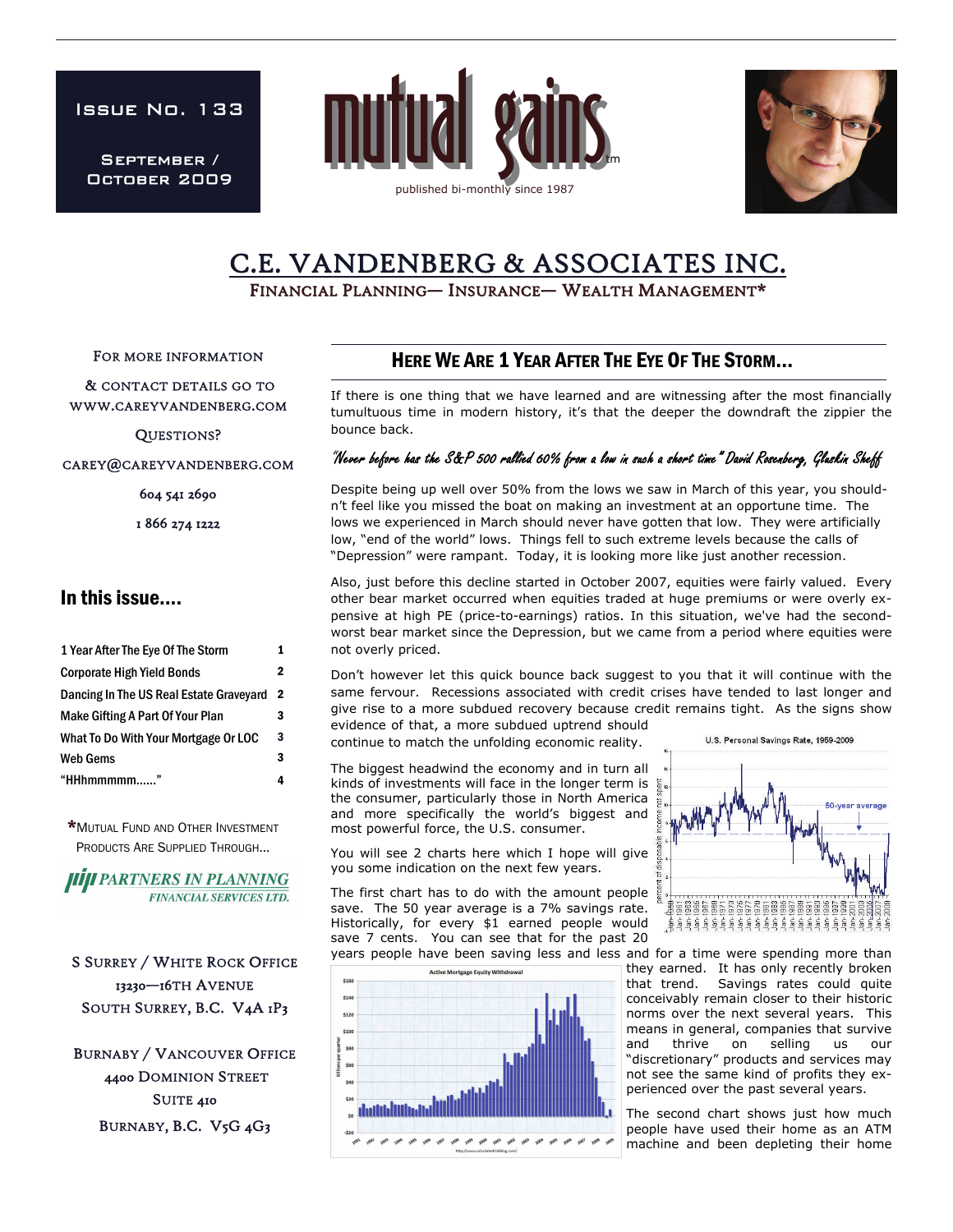Issue No. 133

September / October 2009





# C.E. VANDENBERG & ASSOCIATES INC.<br>FINANCIAL PLANNING— INSURANCE— WEALTH MANAGEMENT\*

FOR MORE INFORMATION

 & CONTACT DETAILS GO TO WWW.CAREYVANDENBERG.COM

QUESTIONS?

CAREY@CAREYVANDENBERG.COM

604 541 2690

1 866 274 1222

### In this issue….

| 1 Year After The Eye Of The Storm       |   |
|-----------------------------------------|---|
| <b>Corporate High Yield Bonds</b>       | 2 |
| Dancing In The US Real Estate Graveyard | 2 |
| <b>Make Gifting A Part Of Your Plan</b> | 3 |
| What To Do With Your Mortgage Or LOC    | 3 |
| <b>Web Gems</b>                         | 3 |
| "HHhmmmmm"                              |   |

\*MUTUAL FUND AND OTHER INVESTMENT PRODUCTS ARE SUPPLIED THROUGH...

**HIJI PARTNERS IN PLANNING FINANCIAL SERVICES LTD.** 

S SURREY / WHITE ROCK OFFICE 13230—16TH AVENUE SOUTH SURREY, B.C. V4A 1P3

BURNABY / VANCOUVER OFFICE 4400 DOMINION STREET SUITE 410 BURNABY, B.C. V5G 4G3

## HERE WE ARE 1 YEAR AFTER THE EYE OF THE STORM...

If there is one thing that we have learned and are witnessing after the most financially tumultuous time in modern history, it's that the deeper the downdraft the zippier the bounce back.

#### "Never before has the S&P 500 rallied 60% from a low in such a short time" David Rosenberg, Gluskin Sheff

Despite being up well over 50% from the lows we saw in March of this year, you shouldn't feel like you missed the boat on making an investment at an opportune time. The lows we experienced in March should never have gotten that low. They were artificially low, "end of the world" lows. Things fell to such extreme levels because the calls of "Depression" were rampant. Today, it is looking more like just another recession.

Also, just before this decline started in October 2007, equities were fairly valued. Every other bear market occurred when equities traded at huge premiums or were overly expensive at high PE (price-to-earnings) ratios. In this situation, we've had the secondworst bear market since the Depression, but we came from a period where equities were not overly priced.

Don't however let this quick bounce back suggest to you that it will continue with the same fervour. Recessions associated with credit crises have tended to last longer and give rise to a more subdued recovery because credit remains tight. As the signs show evidence of that, a more subdued uptrend should

continue to match the unfolding economic reality.

The biggest headwind the economy and in turn all kinds of investments will face in the longer term is the consumer, particularly those in North America and more specifically the world's biggest and most powerful force, the U.S. consumer.

You will see 2 charts here which I hope will give you some indication on the next few years.

The first chart has to do with the amount people save. The 50 year average is a 7% savings rate. Historically, for every \$1 earned people would save 7 cents. You can see that for the past 20





years people have been saving less and less and for a time were spending more than they earned. It has only recently broken that trend. Savings rates could quite conceivably remain closer to their historic norms over the next several years. This means in general, companies that survive and thrive on selling us our "discretionary" products and services may not see the same kind of profits they experienced over the past several years.

> The second chart shows just how much people have used their home as an ATM machine and been depleting their home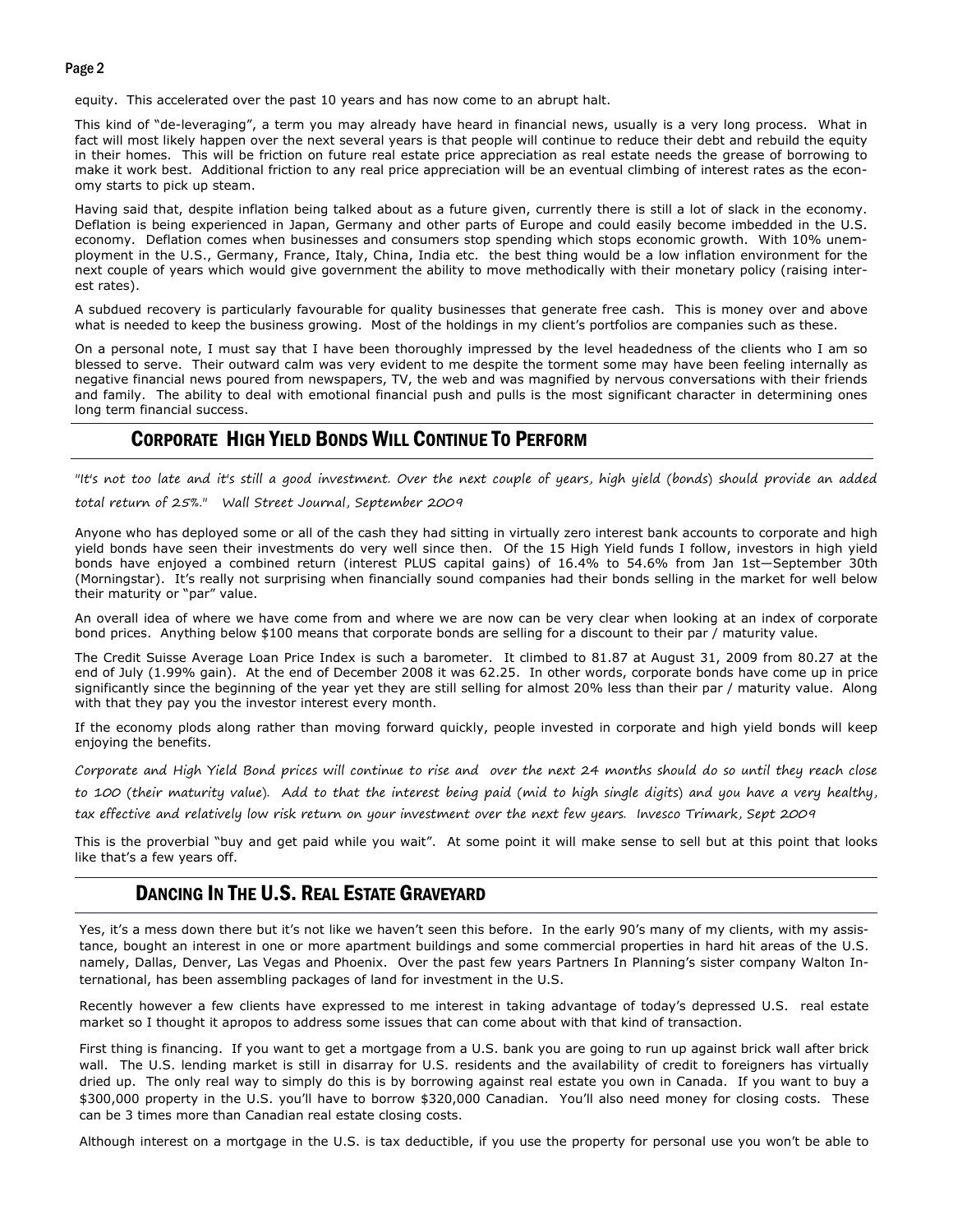#### Page 2

equity. This accelerated over the past 10 years and has now come to an abrupt halt.

This kind of "de-leveraging", a term you may already have heard in financial news, usually is a very long process. What in fact will most likely happen over the next several years is that people will continue to reduce their debt and rebuild the equity in their homes. This will be friction on future real estate price appreciation as real estate needs the grease of borrowing to make it work best. Additional friction to any real price appreciation will be an eventual climbing of interest rates as the economy starts to pick up steam.

Having said that, despite inflation being talked about as a future given, currently there is still a lot of slack in the economy. Deflation is being experienced in Japan, Germany and other parts of Europe and could easily become imbedded in the U.S. economy. Deflation comes when businesses and consumers stop spending which stops economic growth. With 10% unemployment in the U.S., Germany, France, Italy, China, India etc. the best thing would be a low inflation environment for the next couple of years which would give government the ability to move methodically with their monetary policy (raising interest rates).

A subdued recovery is particularly favourable for quality businesses that generate free cash. This is money over and above what is needed to keep the business growing. Most of the holdings in my client's portfolios are companies such as these.

On a personal note, I must say that I have been thoroughly impressed by the level headedness of the clients who I am so blessed to serve. Their outward calm was very evident to me despite the torment some may have been feeling internally as negative financial news poured from newspapers, TV, the web and was magnified by nervous conversations with their friends and family. The ability to deal with emotional financial push and pulls is the most significant character in determining ones long term financial success.

#### CORPORATE HIGH YIELD BONDS WILL CONTINUE TO PERFORM

"It's not too late and it's still a good investment. Over the next couple of years, high yield (bonds) should provide an added

total return of 25%." Wall Street Journal, September 2009

Anyone who has deployed some or all of the cash they had sitting in virtually zero interest bank accounts to corporate and high yield bonds have seen their investments do very well since then. Of the 15 High Yield funds I follow, investors in high yield bonds have enjoyed a combined return (interest PLUS capital gains) of 16.4% to 54.6% from Jan 1st—September 30th (Morningstar). It's really not surprising when financially sound companies had their bonds selling in the market for well below their maturity or "par" value.

An overall idea of where we have come from and where we are now can be very clear when looking at an index of corporate bond prices. Anything below \$100 means that corporate bonds are selling for a discount to their par / maturity value.

The Credit Suisse Average Loan Price Index is such a barometer. It climbed to 81.87 at August 31, 2009 from 80.27 at the end of July (1.99% gain). At the end of December 2008 it was 62.25. In other words, corporate bonds have come up in price significantly since the beginning of the year yet they are still selling for almost 20% less than their par / maturity value. Along with that they pay you the investor interest every month.

If the economy plods along rather than moving forward quickly, people invested in corporate and high yield bonds will keep enjoying the benefits.

Corporate and High Yield Bond prices will continue to rise and over the next 24 months should do so until they reach close

to 100 (their maturity value). Add to that the interest being paid (mid to high single digits) and you have a very healthy,

tax effective and relatively low risk return on your investment over the next few years. Invesco Trimark, Sept 2009

This is the proverbial "buy and get paid while you wait". At some point it will make sense to sell but at this point that looks like that's a few years off.

#### DANCING IN THE U.S. REAL ESTATE GRAVEYARD

Yes, it's a mess down there but it's not like we haven't seen this before. In the early 90's many of my clients, with my assistance, bought an interest in one or more apartment buildings and some commercial properties in hard hit areas of the U.S. namely, Dallas, Denver, Las Vegas and Phoenix. Over the past few years Partners In Planning's sister company Walton International, has been assembling packages of land for investment in the U.S.

Recently however a few clients have expressed to me interest in taking advantage of today's depressed U.S. real estate market so I thought it apropos to address some issues that can come about with that kind of transaction.

First thing is financing. If you want to get a mortgage from a U.S. bank you are going to run up against brick wall after brick wall. The U.S. lending market is still in disarray for U.S. residents and the availability of credit to foreigners has virtually dried up. The only real way to simply do this is by borrowing against real estate you own in Canada. If you want to buy a \$300,000 property in the U.S. you'll have to borrow \$320,000 Canadian. You'll also need money for closing costs. These can be 3 times more than Canadian real estate closing costs.

Although interest on a mortgage in the U.S. is tax deductible, if you use the property for personal use you won't be able to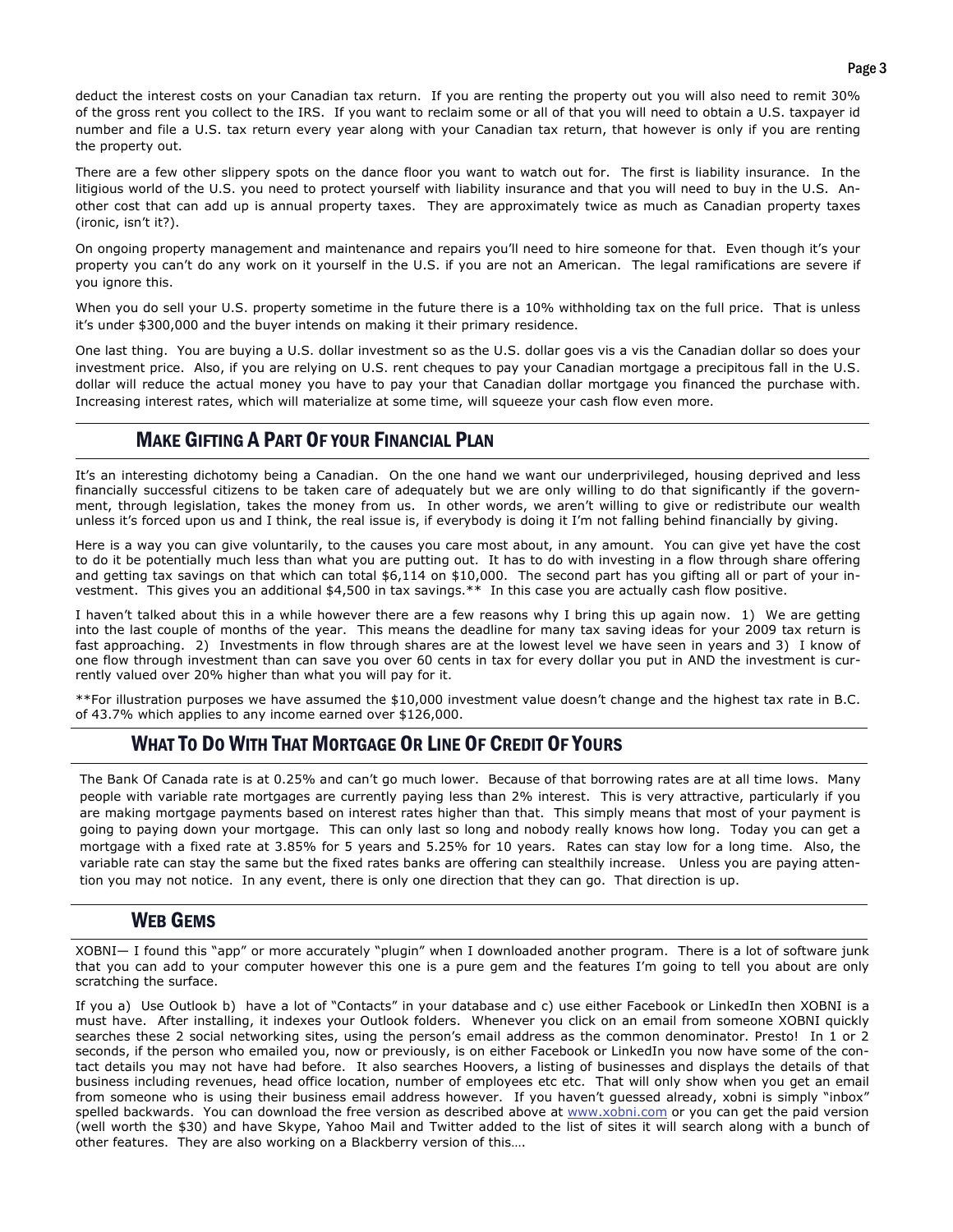deduct the interest costs on your Canadian tax return. If you are renting the property out you will also need to remit 30% of the gross rent you collect to the IRS. If you want to reclaim some or all of that you will need to obtain a U.S. taxpayer id number and file a U.S. tax return every year along with your Canadian tax return, that however is only if you are renting the property out.

There are a few other slippery spots on the dance floor you want to watch out for. The first is liability insurance. In the litigious world of the U.S. you need to protect yourself with liability insurance and that you will need to buy in the U.S. Another cost that can add up is annual property taxes. They are approximately twice as much as Canadian property taxes (ironic, isn't it?).

On ongoing property management and maintenance and repairs you'll need to hire someone for that. Even though it's your property you can't do any work on it yourself in the U.S. if you are not an American. The legal ramifications are severe if you ignore this.

When you do sell your U.S. property sometime in the future there is a 10% withholding tax on the full price. That is unless it's under \$300,000 and the buyer intends on making it their primary residence.

 dollar will reduce the actual money you have to pay your that Canadian dollar mortgage you financed the purchase with. One last thing. You are buying a U.S. dollar investment so as the U.S. dollar goes vis a vis the Canadian dollar so does your investment price. Also, if you are relying on U.S. rent cheques to pay your Canadian mortgage a precipitous fall in the U.S. Increasing interest rates, which will materialize at some time, will squeeze your cash flow even more.

### MAKE GIFTING A PART OF YOUR FINANCIAL PLAN

It's an interesting dichotomy being a Canadian. On the one hand we want our underprivileged, housing deprived and less financially successful citizens to be taken care of adequately but we are only willing to do that significantly if the government, through legislation, takes the money from us. In other words, we aren't willing to give or redistribute our wealth unless it's forced upon us and I think, the real issue is, if everybody is doing it I'm not falling behind financially by giving.

Here is a way you can give voluntarily, to the causes you care most about, in any amount. You can give yet have the cost to do it be potentially much less than what you are putting out. It has to do with investing in a flow through share offering and getting tax savings on that which can total \$6,114 on \$10,000. The second part has you gifting all or part of your investment. This gives you an additional \$4,500 in tax savings.\*\* In this case you are actually cash flow positive.

I haven't talked about this in a while however there are a few reasons why I bring this up again now. 1) We are getting into the last couple of months of the year. This means the deadline for many tax saving ideas for your 2009 tax return is fast approaching. 2) Investments in flow through shares are at the lowest level we have seen in years and 3) I know of one flow through investment than can save you over 60 cents in tax for every dollar you put in AND the investment is currently valued over 20% higher than what you will pay for it.

\*\*For illustration purposes we have assumed the \$10,000 investment value doesn't change and the highest tax rate in B.C. of 43.7% which applies to any income earned over \$126,000.

### WHAT TO DO WITH THAT MORTGAGE OR LINE OF CREDIT OF YOURS

The Bank Of Canada rate is at 0.25% and can't go much lower. Because of that borrowing rates are at all time lows. Many people with variable rate mortgages are currently paying less than 2% interest. This is very attractive, particularly if you are making mortgage payments based on interest rates higher than that. This simply means that most of your payment is going to paying down your mortgage. This can only last so long and nobody really knows how long. Today you can get a mortgage with a fixed rate at 3.85% for 5 years and 5.25% for 10 years. Rates can stay low for a long time. Also, the variable rate can stay the same but the fixed rates banks are offering can stealthily increase. Unless you are paying attention you may not notice. In any event, there is only one direction that they can go. That direction is up.

#### WEB GEMS

XOBNI— I found this "app" or more accurately "plugin" when I downloaded another program. There is a lot of software junk that you can add to your computer however this one is a pure gem and the features I'm going to tell you about are only scratching the surface.

If you a) Use Outlook b) have a lot of "Contacts" in your database and c) use either Facebook or LinkedIn then XOBNI is a must have. After installing, it indexes your Outlook folders. Whenever you click on an email from someone XOBNI quickly searches these 2 social networking sites, using the person's email address as the common denominator. Presto! In 1 or 2 seconds, if the person who emailed you, now or previously, is on either Facebook or LinkedIn you now have some of the contact details you may not have had before. It also searches Hoovers, a listing of businesses and displays the details of that business including revenues, head office location, number of employees etc etc. That will only show when you get an email from someone who is using their business email address however. If you haven't quessed already, xobni is simply "inbox" spelled backwards. You can download the free version as described above at [www.xobni.com](http://www.xobni.com/) or you can get the paid version (well worth the \$30) and have Skype, Yahoo Mail and Twitter added to the list of sites it will search along with a bunch of other features. They are also working on a Blackberry version of this….